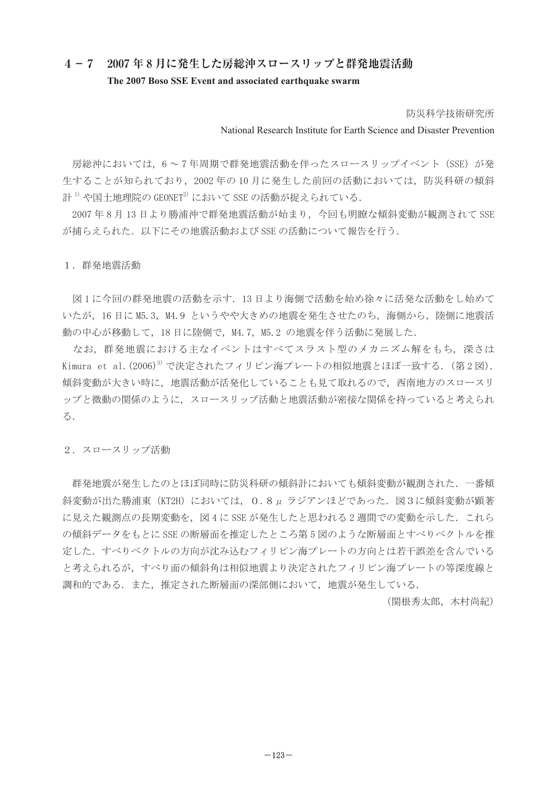## **4-7 2007 年 8 月に発生した房総沖スロースリップと群発地震活動 The 2007 Boso SSE Event and associated earthquake swarm**

防災科学技術研究所

National Research Institute for Earth Science and Disaster Prevention

房総沖においては、6~7年周期で群発地震活動を伴ったスロースリップイベント (SSE) が発 生することが知られており,2002 年の 10 月に発生した前回の活動においては,防災科研の傾斜 計 $1)$ や国十地理院の GEONET $2)$ において SSE の活動が捉えられている.

2007 年 8 月 13 日より勝浦沖で群発地震活動が始まり,今回も明瞭な傾斜変動が観測されて SSE が捕らえられた.以下にその地震活動および SSE の活動について報告を行う.

## 1. 群発地震活動

 図 1 に今回の群発地震の活動を示す.13 日より海側で活動を始め徐々に活発な活動をし始めて いたが,16 日に M5.3,M4.9 というやや大きめの地震を発生させたのち,海側から,陸側に地震活 動の中心が移動して,18 日に陸側で,M4.7,M5.2 の地震を伴う活動に発展した.

 なお,群発地震における主なイベントはすべてスラスト型のメカニズム解をもち,深さは Kimura et al.  $(2006)^{3}$  で決定されたフィリピン海プレートの相似地震とほぼ一致する. (第2図). 傾斜変動が大きい時に、地震活動が活発化していることも見て取れるので、西南地方のスロースリ ップと微動の関係のように,スロースリップ活動と地震活動が密接な関係を持っていると考えられ る.

2.スロースリップ活動

 群発地震が発生したのとほぼ同時に防災科研の傾斜計においても傾斜変動が観測された.一番傾 斜変動が出た勝浦東 (KT2H) においては、0.8μラジアンほどであった. 図3に傾斜変動が顕著 に見えた観測点の長期変動を,図 4 に SSE が発生したと思われる 2 週間での変動を示した.これら の傾斜データをもとに SSE の断層面を推定したところ第 5 図のような断層面とすべりベクトルを推 定した.すべりベクトルの方向が沈み込むフィリピン海プレートの方向とは若干誤差を含んでいる と考えられるが,すべり面の傾斜角は相似地震より決定されたフィリピン海プレートの等深度線と 調和的である.また,推定された断層面の深部側において,地震が発生している.

(関根秀太郎,木村尚紀)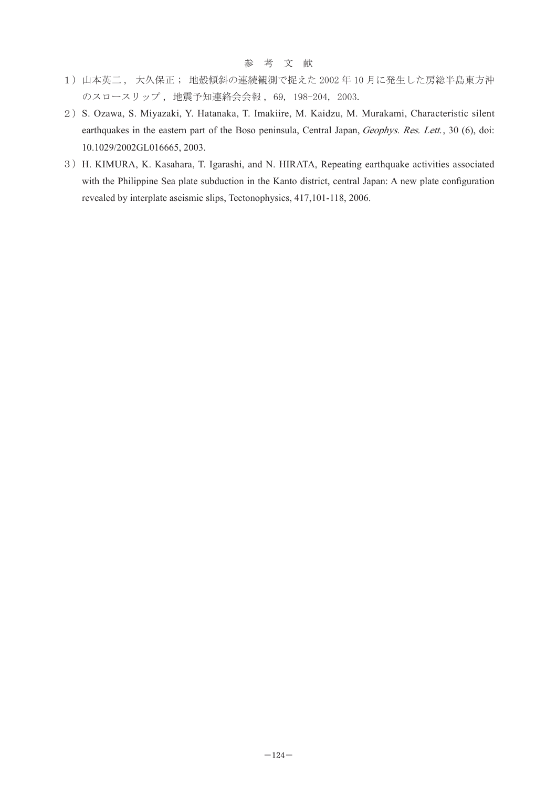## 参 考 文 献

- 1)山本英二 , 大久保正 ; 地殻傾斜の連続観測で捉えた 2002 年 10 月に発生した房総半島東方沖 のスロースリップ , 地震予知連絡会会報 , 69, 198-204, 2003.
- 2) S. Ozawa, S. Miyazaki, Y. Hatanaka, T. Imakiire, M. Kaidzu, M. Murakami, Characteristic silent earthquakes in the eastern part of the Boso peninsula, Central Japan, Geophys. Res. Lett., 30 (6), doi: 10.1029/2002GL016665, 2003.
- 3) H. KIMURA, K. Kasahara, T. Igarashi, and N. HIRATA, Repeating earthquake activities associated with the Philippine Sea plate subduction in the Kanto district, central Japan: A new plate configuration revealed by interplate aseismic slips, Tectonophysics, 417,101-118, 2006.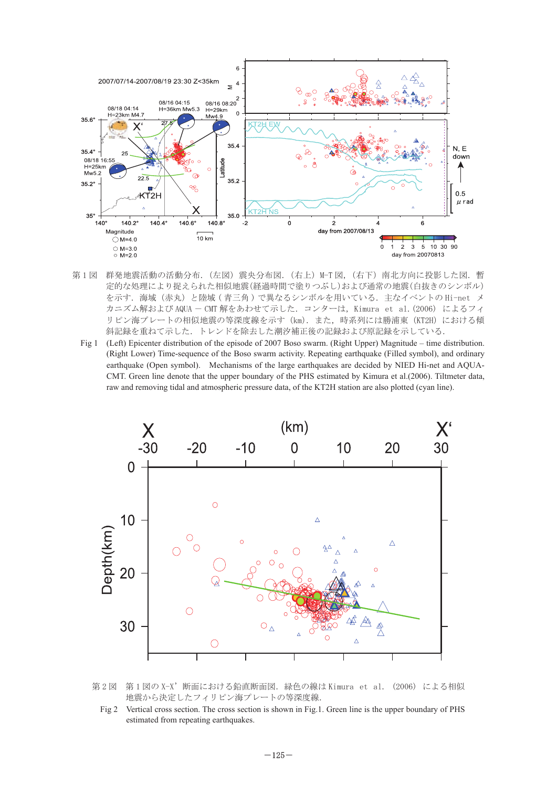

- 第1図 群発地震活動の活動分布. (左図) 震央分布図. (右上) M-T 図. (右下) 南北方向に投影した図. 暫 定的な処理により捉えられた相似地震(経過時間で塗りつぶし)および通常の地震(白抜きのシンボル) を示す.海域(赤丸)と陸域 ( 青三角 ) で異なるシンボルを用いている.主なイベントの Hi-net メ カニズム解および AQUA - CMT 解をあわせて示した. コンターは, Kimura et al. (2006) によるフィ リピン海プレートの相似地震の等深度線を示す(km). また、時系列には勝浦東(KT2H)における傾 斜記録を重ねて示した.トレンドを除去した潮汐補正後の記録および原記録を示している.
	- Fig 1 (Left) Epicenter distribution of the episode of 2007 Boso swarm. (Right Upper) Magnitude time distribution. (Right Lower) Time-sequence of the Boso swarm activity. Repeating earthquake (Filled symbol), and ordinary earthquake (Open symbol). Mechanisms of the large earthquakes are decided by NIED Hi-net and AQUA-CMT. Green line denote that the upper boundary of the PHS estimated by Kimura et al.(2006). Tiltmeter data, raw and removing tidal and atmospheric pressure data, of the KT2H station are also plotted (cyan line).





Fig 2 Vertical cross section. The cross section is shown in Fig.1. Green line is the upper boundary of PHS estimated from repeating earthquakes.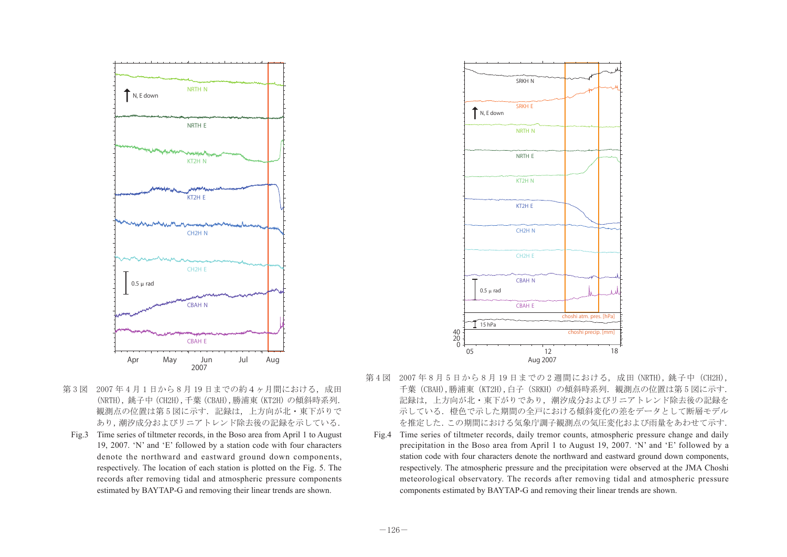

- 第3図 2007年4月1日から8月19日までの約4ヶ月間における、成田 (NRTH), 銚子中(CH2H),千葉(CBAH),勝浦東(KT2H) の傾斜時系列. 観測点の位置は第5図に示す.記録は、上方向が北・東下がりで あり,潮汐成分およびリニアトレンド除去後の記録を示している.
- Fig.3 Time series of tiltmeter records, in the Boso area from April 1 to August 19, 2007. 'N' and 'E' followed by a station code with four characters denote the northward and eastward ground down components, respectively. The location of each station is plotted on the Fig. 5. The records after removing tidal and atmospheric pressure components estimated by BAYTAP-G and removing their linear trends are shown.



- 第4図 2007年8月5日から8月19日までの2週間における,成田 (NRTH), 銚子中 (CH2H), 千葉 (CBAH),勝浦東 (KT2H),白子 (SRKH) の傾斜時系列. 観測点の位置は第 5 図に示す. 記録は,上方向が北・東下がりであり,潮汐成分およびリニアトレンド除去後の記録を 示している.橙色で示した期間の全戸における傾斜変化の差をデータとして断層モデル を推定した.この期間における気象庁調子観測点の気圧変化および雨量をあわせて示す.
- Fig.4 Time series of tiltmeter records, daily tremor counts, atmospheric pressure change and daily precipitation in the Boso area from April 1 to August 19, 2007. 'N' and 'E' followed by a station code with four characters denote the northward and eastward ground down components, respectively. The atmospheric pressure and the precipitation were observed at the JMA Choshi meteorological observatory. The records after removing tidal and atmospheric pressure components estimated by BAYTAP-G and removing their linear trends are shown.